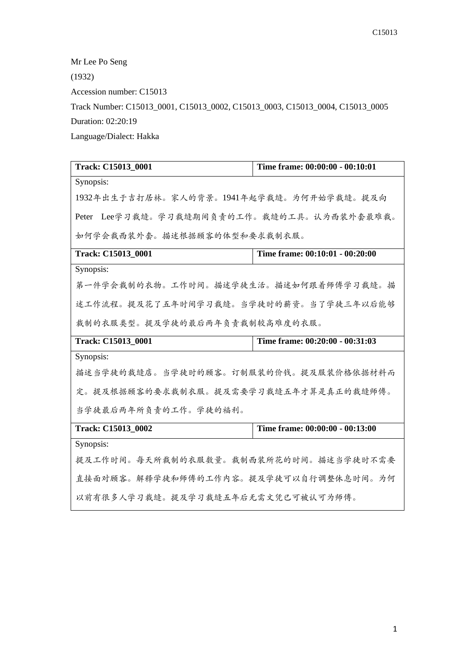Mr Lee Po Seng (1932) Accession number: C15013 Track Number: C15013\_0001, C15013\_0002, C15013\_0003, C15013\_0004, C15013\_0005 Duration: 02:20:19 Language/Dialect: Hakka

| Track: C15013 0001                         | Time frame: 00:00:00 - 00:10:01 |
|--------------------------------------------|---------------------------------|
| Synopsis:                                  |                                 |
| 1932年出生于吉打居林。家人的背景。1941年起学裁缝。为何开始学裁缝。提及向   |                                 |
| Peter Lee学习裁缝。学习裁缝期间负责的工作。裁缝的工具。认为西装外套最难裁。 |                                 |
| 如何学会裁西装外套。描述根据顾客的体型和要求裁制衣服。                |                                 |
| Track: C15013 0001                         | Time frame: 00:10:01 - 00:20:00 |
| Synopsis:                                  |                                 |
| 第一件学会裁制的衣物。工作时间。描述学徒生活。描述如何跟着师傅学习裁缝。描      |                                 |
| 述工作流程。提及花了五年时间学习裁缝。当学徒时的薪资。当了学徒三年以后能够      |                                 |
| 裁制的衣服类型。提及学徒的最后两年负责裁制较高难度的衣服。              |                                 |
| Track: C15013_0001                         | Time frame: 00:20:00 - 00:31:03 |
| Synopsis:                                  |                                 |
| 描述当学徒的裁缝店。当学徒时的顾客。订制服装的价钱。提及服装价格依据材料而      |                                 |
| 定。提及根据顾客的要求裁制衣服。提及需要学习裁缝五年才算是真正的裁缝师傅。      |                                 |
| 当学徒最后两年所负责的工作。学徒的福利。                       |                                 |
| Track: C15013_0002                         | Time frame: 00:00:00 - 00:13:00 |
| Synopsis:                                  |                                 |
| 提及工作时间。每天所裁制的衣服数量。裁制西装所花的时间。描述当学徒时不需要      |                                 |
| 直接面对顾客。解释学徒和师傅的工作内容。提及学徒可以自行调整休息时间。为何      |                                 |
| 以前有很多人学习裁缝。提及学习裁缝五年后无需文凭已可被认可为师傅。          |                                 |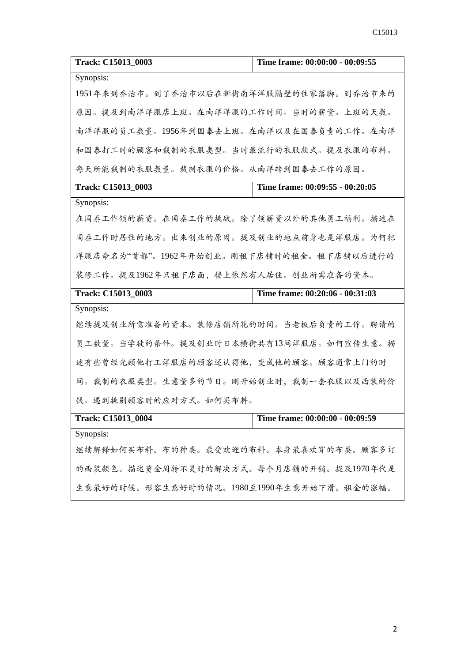| Track: C15013_0003                       | Time frame: 00:00:00 - 00:09:55 |
|------------------------------------------|---------------------------------|
| Synopsis:                                |                                 |
| 1951年来到乔治市。到了乔治市以后在新街南洋洋服隔壁的住家落脚。到乔治市来的  |                                 |
| 原因。提及到南洋洋服店上班。在南洋洋服的工作时间。当时的薪资。上班的天数。    |                                 |
| 南洋洋服的员工数量。1956年到国泰去上班。在南洋以及在国泰负责的工作。在南洋  |                                 |
| 和国泰打工时的顾客和裁制的衣服类型。当时最流行的衣服款式。提及衣服的布料。    |                                 |
| 每天所能裁制的衣服数量。裁制衣服的价格。从南洋转到国泰去工作的原因。       |                                 |
| Track: C15013_0003                       | Time frame: 00:09:55 - 00:20:05 |
| Synopsis:                                |                                 |
| 在国泰工作领的薪资。在国泰工作的挑战。除了领薪资以外的其他员工福利。描述在    |                                 |
| 国泰工作时居住的地方。出来创业的原因。提及创业的地点前身也是洋服店。为何把    |                                 |
| 洋服店命名为"首都"。1962年开始创业。刚租下店铺时的租金。租下店铺以后进行的 |                                 |
| 装修工作。提及1962年只租下店面,楼上依然有人居住。创业所需准备的资本。    |                                 |
| Track: C15013_0003                       | Time frame: 00:20:06 - 00:31:03 |
| Synopsis:                                |                                 |
| 继续提及创业所需准备的资本。装修店铺所花的时间。当老板后负责的工作。聘请的    |                                 |
| 员工数量。当学徒的条件。提及创业时日本横街共有13间洋服店。如何宣传生意。描   |                                 |
| 述有些曾经光顾他打工洋服店的顾客还认得他,变成他的顾客。顾客通常上门的时     |                                 |
| 间。裁制的衣服类型。生意量多的节日。刚开始创业时,裁制一套衣服以及西装的价    |                                 |
| 钱。遇到挑剔顾客时的应对方式。如何买布料。                    |                                 |
| Track: C15013 0004                       | Time frame: 00:00:00 - 00:09:59 |
| Synopsis:                                |                                 |
| 继续解释如何买布料。布的种类。最受欢迎的布料。本身最喜欢穿的布类。顾客多订    |                                 |
| 的西装颜色。描述资金周转不灵时的解决方式。每个月店铺的开销。提及1970年代是  |                                 |

生意最好的时候。形容生意好时的情况。1980至1990年生意开始下滑。租金的涨幅。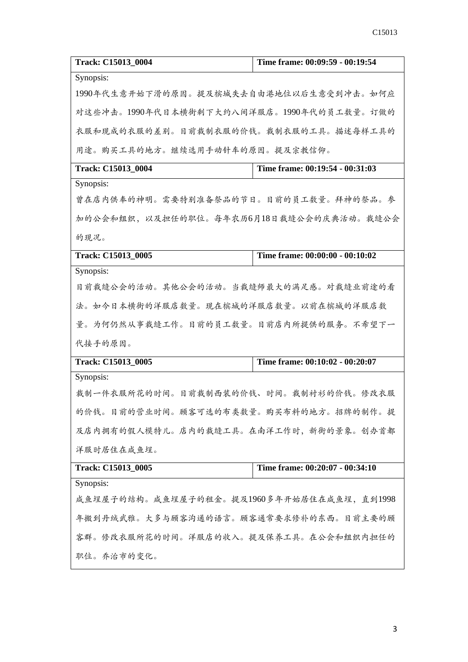| Track: C15013_0004                        | Time frame: 00:09:59 - 00:19:54 |
|-------------------------------------------|---------------------------------|
| Synopsis:                                 |                                 |
| 1990年代生意开始下滑的原因。提及槟城失去自由港地位以后生意受到冲击。如何应   |                                 |
| 对这些冲击。1990年代日本横街剩下大约八间洋服店。1990年代的员工数量。订做的 |                                 |
| 衣服和现成的衣服的差别。目前裁制衣服的价钱。裁制衣服的工具。描述每样工具的     |                                 |
| 用途。购买工具的地方。继续选用手动针车的原因。提及宗教信仰。            |                                 |
| Track: C15013_0004                        | Time frame: 00:19:54 - 00:31:03 |
| Synopsis:                                 |                                 |
| 曾在店内供奉的神明。需要特别准备祭品的节日。目前的员工数量。拜神的祭品。参     |                                 |
| 加的公会和组织, 以及担任的职位。每年农历6月18日裁缝公会的庆典活动。裁缝公会  |                                 |
| 的现况。                                      |                                 |
| Track: C15013_0005                        | Time frame: 00:00:00 - 00:10:02 |
| Synopsis:                                 |                                 |
| 目前裁缝公会的活动。其他公会的活动。当裁缝师最大的满足感。对裁缝业前途的看     |                                 |
| 法。如今日本横街的洋服店数量。现在槟城的洋服店数量。以前在槟城的洋服店数      |                                 |
| 量。为何仍然从事裁缝工作。目前的员工数量。目前店内所提供的服务。不希望下一     |                                 |
| 代接手的原因。                                   |                                 |
| Track: C15013_0005                        | Time frame: 00:10:02 - 00:20:07 |
| Synopsis:                                 |                                 |
| 裁制一件衣服所花的时间。目前裁制西装的价钱、时间。裁制衬衫的价钱。修改衣服     |                                 |
| 的价钱。目前的营业时间。顾客可选的布类数量。购买布料的地方。招牌的制作。提     |                                 |
| 及店内拥有的假人模特儿。店内的裁缝工具。在南洋工作时,新街的景象。创办首都     |                                 |
| 洋服时居住在咸鱼埕。                                |                                 |
| Track: C15013_0005                        | Time frame: 00:20:07 - 00:34:10 |
| Synopsis:                                 |                                 |
| 咸鱼埕屋子的结构。咸鱼埕屋子的租金。提及1960多年开始居住在咸鱼埕,直到1998 |                                 |
| 年搬到丹绒武雅。大多与顾客沟通的语言。顾客通常要求修补的东西。目前主要的顾     |                                 |
| 客群。修改衣服所花的时间。洋服店的收入。提及保养工具。在公会和组织内担任的     |                                 |
| 职位。乔治市的变化。                                |                                 |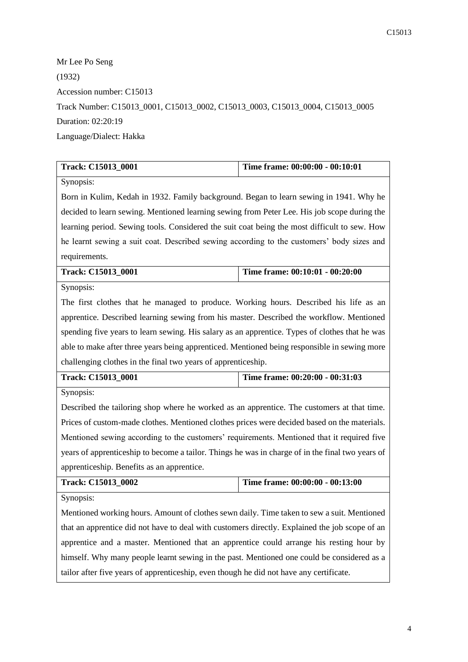Mr Lee Po Seng (1932) Accession number: C15013 Track Number: C15013\_0001, C15013\_0002, C15013\_0003, C15013\_0004, C15013\_0005 Duration: 02:20:19 Language/Dialect: Hakka

| Track: C15013_0001                                                                               | Time frame: 00:00:00 - 00:10:01                                                             |  |
|--------------------------------------------------------------------------------------------------|---------------------------------------------------------------------------------------------|--|
| Synopsis:                                                                                        |                                                                                             |  |
| Born in Kulim, Kedah in 1932. Family background. Began to learn sewing in 1941. Why he           |                                                                                             |  |
|                                                                                                  | decided to learn sewing. Mentioned learning sewing from Peter Lee. His job scope during the |  |
| learning period. Sewing tools. Considered the suit coat being the most difficult to sew. How     |                                                                                             |  |
| he learnt sewing a suit coat. Described sewing according to the customers' body sizes and        |                                                                                             |  |
| requirements.                                                                                    |                                                                                             |  |
| Track: C15013_0001                                                                               | Time frame: 00:10:01 - 00:20:00                                                             |  |
| Synopsis:                                                                                        |                                                                                             |  |
| The first clothes that he managed to produce. Working hours. Described his life as an            |                                                                                             |  |
| apprentice. Described learning sewing from his master. Described the workflow. Mentioned         |                                                                                             |  |
| spending five years to learn sewing. His salary as an apprentice. Types of clothes that he was   |                                                                                             |  |
| able to make after three years being apprenticed. Mentioned being responsible in sewing more     |                                                                                             |  |
| challenging clothes in the final two years of apprenticeship.                                    |                                                                                             |  |
|                                                                                                  |                                                                                             |  |
| Track: C15013_0001                                                                               | Time frame: 00:20:00 - 00:31:03                                                             |  |
| Synopsis:                                                                                        |                                                                                             |  |
| Described the tailoring shop where he worked as an apprentice. The customers at that time.       |                                                                                             |  |
| Prices of custom-made clothes. Mentioned clothes prices were decided based on the materials.     |                                                                                             |  |
| Mentioned sewing according to the customers' requirements. Mentioned that it required five       |                                                                                             |  |
| years of apprenticeship to become a tailor. Things he was in charge of in the final two years of |                                                                                             |  |
| apprenticeship. Benefits as an apprentice.                                                       |                                                                                             |  |
| Track: C15013_0002                                                                               | Time frame: 00:00:00 - 00:13:00                                                             |  |
| Synopsis:                                                                                        |                                                                                             |  |
| Mentioned working hours. Amount of clothes sewn daily. Time taken to sew a suit. Mentioned       |                                                                                             |  |
| that an apprentice did not have to deal with customers directly. Explained the job scope of an   |                                                                                             |  |
| apprentice and a master. Mentioned that an apprentice could arrange his resting hour by          |                                                                                             |  |
| himself. Why many people learnt sewing in the past. Mentioned one could be considered as a       |                                                                                             |  |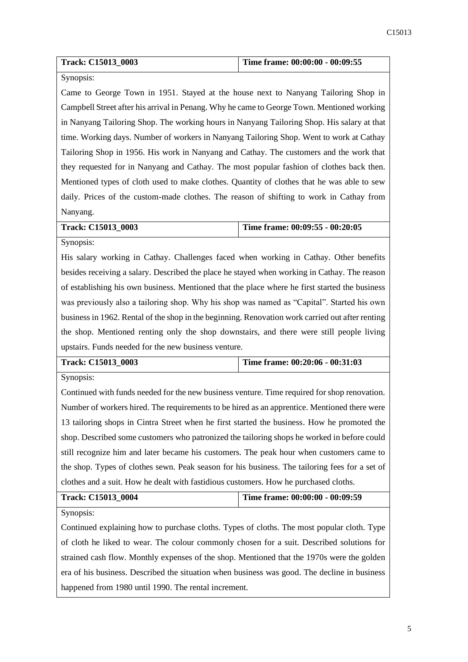| <b>Track: C15013 0003</b> | Time frame: $00:00:00 - 00:09:55$ |  |
|---------------------------|-----------------------------------|--|
|                           |                                   |  |

## Synopsis:

Came to George Town in 1951. Stayed at the house next to Nanyang Tailoring Shop in Campbell Street after his arrival in Penang. Why he came to George Town. Mentioned working in Nanyang Tailoring Shop. The working hours in Nanyang Tailoring Shop. His salary at that time. Working days. Number of workers in Nanyang Tailoring Shop. Went to work at Cathay Tailoring Shop in 1956. His work in Nanyang and Cathay. The customers and the work that they requested for in Nanyang and Cathay. The most popular fashion of clothes back then. Mentioned types of cloth used to make clothes. Quantity of clothes that he was able to sew daily. Prices of the custom-made clothes. The reason of shifting to work in Cathay from Nanyang.

| Track: C15013 0003 |  |
|--------------------|--|
|                    |  |

**Time frame: 00:09:55 - 00:20:05** 

Synopsis:

His salary working in Cathay. Challenges faced when working in Cathay. Other benefits besides receiving a salary. Described the place he stayed when working in Cathay. The reason of establishing his own business. Mentioned that the place where he first started the business was previously also a tailoring shop. Why his shop was named as "Capital". Started his own business in 1962. Rental of the shop in the beginning. Renovation work carried out after renting the shop. Mentioned renting only the shop downstairs, and there were still people living upstairs. Funds needed for the new business venture.

| Track: C15013 0003 | Time frame: $00:20:06 - 00:31:03$ |
|--------------------|-----------------------------------|
|                    |                                   |

Synopsis:

Continued with funds needed for the new business venture. Time required for shop renovation. Number of workers hired. The requirements to be hired as an apprentice. Mentioned there were 13 tailoring shops in Cintra Street when he first started the business. How he promoted the shop. Described some customers who patronized the tailoring shops he worked in before could still recognize him and later became his customers. The peak hour when customers came to the shop. Types of clothes sewn. Peak season for his business. The tailoring fees for a set of clothes and a suit. How he dealt with fastidious customers. How he purchased cloths.

| Track: C15013_0004 | Time frame: 00:00:00 - 00:09:59 |
|--------------------|---------------------------------|
|                    |                                 |

Synopsis:

Continued explaining how to purchase cloths. Types of cloths. The most popular cloth. Type of cloth he liked to wear. The colour commonly chosen for a suit. Described solutions for strained cash flow. Monthly expenses of the shop. Mentioned that the 1970s were the golden era of his business. Described the situation when business was good. The decline in business happened from 1980 until 1990. The rental increment.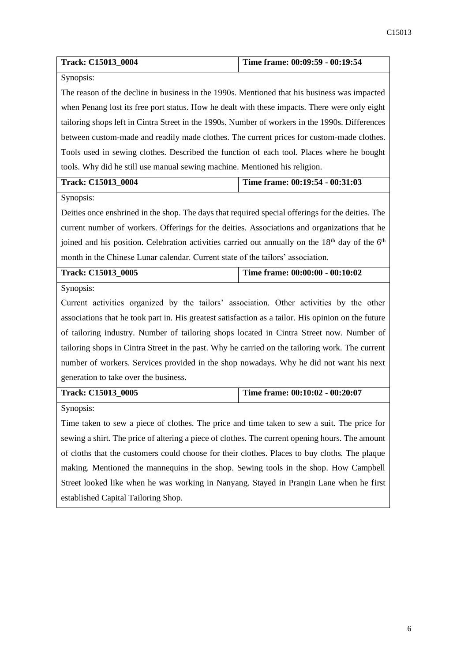| Track: C15013_0004                                                                                                      | Time frame: 00:09:59 - 00:19:54                                                         |  |
|-------------------------------------------------------------------------------------------------------------------------|-----------------------------------------------------------------------------------------|--|
| Synopsis:                                                                                                               |                                                                                         |  |
| The reason of the decline in business in the 1990s. Mentioned that his business was impacted                            |                                                                                         |  |
| when Penang lost its free port status. How he dealt with these impacts. There were only eight                           |                                                                                         |  |
| tailoring shops left in Cintra Street in the 1990s. Number of workers in the 1990s. Differences                         |                                                                                         |  |
| between custom-made and readily made clothes. The current prices for custom-made clothes.                               |                                                                                         |  |
| Tools used in sewing clothes. Described the function of each tool. Places where he bought                               |                                                                                         |  |
| tools. Why did he still use manual sewing machine. Mentioned his religion.                                              |                                                                                         |  |
| Track: C15013_0004                                                                                                      | Time frame: 00:19:54 - 00:31:03                                                         |  |
| Synopsis:                                                                                                               |                                                                                         |  |
| Deities once enshrined in the shop. The days that required special offerings for the deities. The                       |                                                                                         |  |
| current number of workers. Offerings for the deities. Associations and organizations that he                            |                                                                                         |  |
| joined and his position. Celebration activities carried out annually on the 18 <sup>th</sup> day of the 6 <sup>th</sup> |                                                                                         |  |
| month in the Chinese Lunar calendar. Current state of the tailors' association.                                         |                                                                                         |  |
| Track: C15013_0005                                                                                                      | Time frame: 00:00:00 - 00:10:02                                                         |  |
| Synopsis:                                                                                                               |                                                                                         |  |
| Current activities organized by the tailors' association. Other activities by the other                                 |                                                                                         |  |
| associations that he took part in. His greatest satisfaction as a tailor. His opinion on the future                     |                                                                                         |  |
| of tailoring industry. Number of tailoring shops located in Cintra Street now. Number of                                |                                                                                         |  |
| tailoring shops in Cintra Street in the past. Why he carried on the tailoring work. The current                         |                                                                                         |  |
|                                                                                                                         | number of workers. Services provided in the shop nowadays. Why he did not want his next |  |
| generation to take over the business.                                                                                   |                                                                                         |  |
| Track: C15013_0005                                                                                                      | Time frame: 00:10:02 - 00:20:07                                                         |  |
| Synopsis:                                                                                                               |                                                                                         |  |
| Time taken to sew a piece of clothes. The price and time taken to sew a suit. The price for                             |                                                                                         |  |
| sewing a shirt. The price of altering a piece of clothes. The current opening hours. The amount                         |                                                                                         |  |
| of cloths that the customers could choose for their clothes. Places to buy cloths. The plaque                           |                                                                                         |  |
| making. Mentioned the mannequins in the shop. Sewing tools in the shop. How Campbell                                    |                                                                                         |  |
| Street looked like when he was working in Nanyang. Stayed in Prangin Lane when he first                                 |                                                                                         |  |
| established Capital Tailoring Shop.                                                                                     |                                                                                         |  |